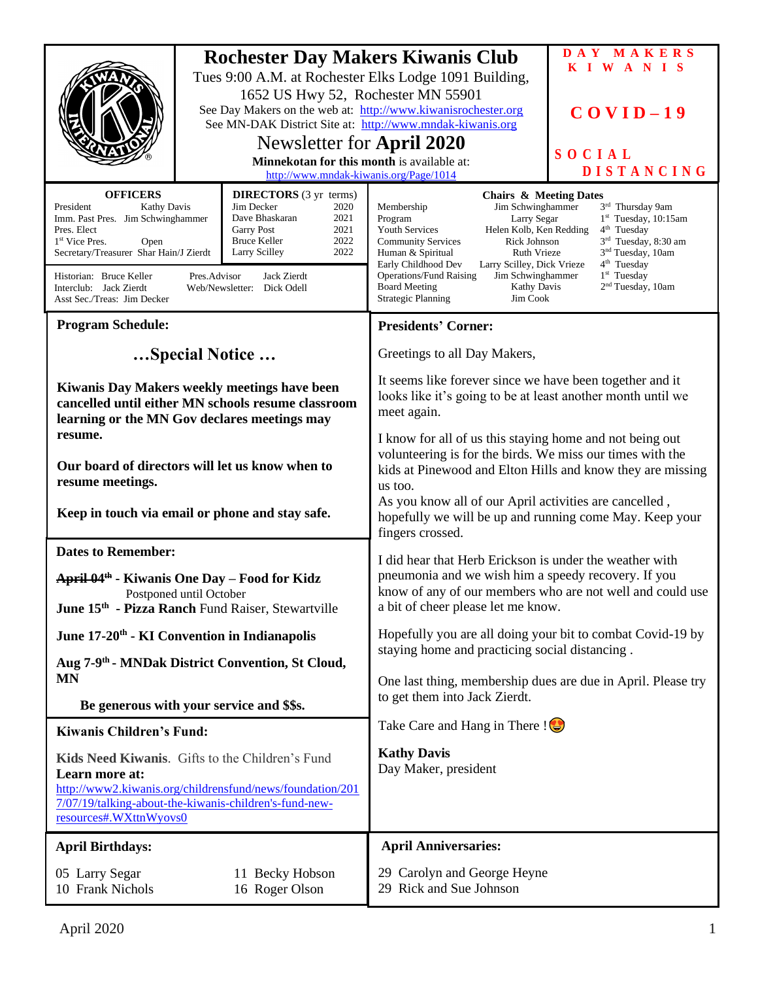|                                                                                                                                                                                                                                                                                                                                                              |                                        |                                                                         | <b>Rochester Day Makers Kiwanis Club</b>                                                                                                                                                                                                                                                                                                                                                                                                                                                                                                                                                                                                                   | DAY MAKERS<br>KIWANIS |
|--------------------------------------------------------------------------------------------------------------------------------------------------------------------------------------------------------------------------------------------------------------------------------------------------------------------------------------------------------------|----------------------------------------|-------------------------------------------------------------------------|------------------------------------------------------------------------------------------------------------------------------------------------------------------------------------------------------------------------------------------------------------------------------------------------------------------------------------------------------------------------------------------------------------------------------------------------------------------------------------------------------------------------------------------------------------------------------------------------------------------------------------------------------------|-----------------------|
|                                                                                                                                                                                                                                                                                                                                                              |                                        | 1652 US Hwy 52, Rochester MN 55901                                      | Tues 9:00 A.M. at Rochester Elks Lodge 1091 Building,                                                                                                                                                                                                                                                                                                                                                                                                                                                                                                                                                                                                      |                       |
|                                                                                                                                                                                                                                                                                                                                                              |                                        |                                                                         | See Day Makers on the web at: http://www.kiwanisrochester.org<br>See MN-DAK District Site at: http://www.mndak-kiwanis.org                                                                                                                                                                                                                                                                                                                                                                                                                                                                                                                                 | $COVID-19$            |
|                                                                                                                                                                                                                                                                                                                                                              |                                        | Newsletter for April 2020<br>Minnekotan for this month is available at: |                                                                                                                                                                                                                                                                                                                                                                                                                                                                                                                                                                                                                                                            | SOCIAL                |
|                                                                                                                                                                                                                                                                                                                                                              | http://www.mndak-kiwanis.org/Page/1014 |                                                                         |                                                                                                                                                                                                                                                                                                                                                                                                                                                                                                                                                                                                                                                            | <b>DISTANCING</b>     |
| <b>OFFICERS</b><br><b>DIRECTORS</b> (3 yr terms)<br>Jim Decker<br>President<br>2020<br><b>Kathy Davis</b><br>Imm. Past Pres. Jim Schwinghammer<br>Dave Bhaskaran<br>2021<br>2021<br>Pres. Elect<br><b>Garry Post</b><br>2022<br><b>Bruce Keller</b><br>1 <sup>st</sup> Vice Pres.<br>Open<br>2022<br>Secretary/Treasurer Shar Hain/J Zierdt<br>Larry Scilley |                                        |                                                                         | <b>Chairs &amp; Meeting Dates</b><br>3rd Thursday 9am<br>Membership<br>Jim Schwinghammer<br>$1st$ Tuesday, 10:15am<br>Program<br>Larry Segar<br><b>Youth Services</b><br>Helen Kolb, Ken Redding<br>4 <sup>th</sup> Tuesday<br>$3rd$ Tuesday, 8:30 am<br><b>Community Services</b><br>Rick Johnson<br>Ruth Vrieze<br>3 <sup>nd</sup> Tuesday, 10am<br>Human & Spiritual<br>4 <sup>th</sup> Tuesday<br>Early Childhood Dev<br>Larry Scilley, Dick Vrieze<br>1 <sup>st</sup> Tuesday<br><b>Operations/Fund Raising</b><br>Jim Schwinghammer<br>2 <sup>nd</sup> Tuesday, 10am<br><b>Board Meeting</b><br>Kathy Davis<br><b>Strategic Planning</b><br>Jim Cook |                       |
| Historian: Bruce Keller<br>Pres.Advisor<br>Jack Zierdt<br>Interclub: Jack Zierdt<br>Web/Newsletter: Dick Odell<br>Asst Sec./Treas: Jim Decker                                                                                                                                                                                                                |                                        |                                                                         |                                                                                                                                                                                                                                                                                                                                                                                                                                                                                                                                                                                                                                                            |                       |
| <b>Program Schedule:</b>                                                                                                                                                                                                                                                                                                                                     |                                        |                                                                         | <b>Presidents' Corner:</b>                                                                                                                                                                                                                                                                                                                                                                                                                                                                                                                                                                                                                                 |                       |
| Special Notice                                                                                                                                                                                                                                                                                                                                               |                                        |                                                                         | Greetings to all Day Makers,                                                                                                                                                                                                                                                                                                                                                                                                                                                                                                                                                                                                                               |                       |
| Kiwanis Day Makers weekly meetings have been<br>cancelled until either MN schools resume classroom<br>learning or the MN Gov declares meetings may                                                                                                                                                                                                           |                                        |                                                                         | It seems like forever since we have been together and it<br>looks like it's going to be at least another month until we<br>meet again.                                                                                                                                                                                                                                                                                                                                                                                                                                                                                                                     |                       |
| resume.                                                                                                                                                                                                                                                                                                                                                      |                                        |                                                                         | I know for all of us this staying home and not being out                                                                                                                                                                                                                                                                                                                                                                                                                                                                                                                                                                                                   |                       |
| Our board of directors will let us know when to<br>resume meetings.                                                                                                                                                                                                                                                                                          |                                        |                                                                         | volunteering is for the birds. We miss our times with the<br>kids at Pinewood and Elton Hills and know they are missing<br>us too.<br>As you know all of our April activities are cancelled,<br>hopefully we will be up and running come May. Keep your<br>fingers crossed.                                                                                                                                                                                                                                                                                                                                                                                |                       |
| Keep in touch via email or phone and stay safe.                                                                                                                                                                                                                                                                                                              |                                        |                                                                         |                                                                                                                                                                                                                                                                                                                                                                                                                                                                                                                                                                                                                                                            |                       |
| <b>Dates to Remember:</b>                                                                                                                                                                                                                                                                                                                                    |                                        |                                                                         | I did hear that Herb Erickson is under the weather with                                                                                                                                                                                                                                                                                                                                                                                                                                                                                                                                                                                                    |                       |
| April 04 <sup>th</sup> - Kiwanis One Day – Food for Kidz                                                                                                                                                                                                                                                                                                     |                                        |                                                                         | pneumonia and we wish him a speedy recovery. If you<br>know of any of our members who are not well and could use<br>a bit of cheer please let me know.                                                                                                                                                                                                                                                                                                                                                                                                                                                                                                     |                       |
| Postponed until October<br>June 15 <sup>th</sup> - Pizza Ranch Fund Raiser, Stewartville                                                                                                                                                                                                                                                                     |                                        |                                                                         |                                                                                                                                                                                                                                                                                                                                                                                                                                                                                                                                                                                                                                                            |                       |
| June 17-20 <sup>th</sup> - KI Convention in Indianapolis                                                                                                                                                                                                                                                                                                     |                                        |                                                                         | Hopefully you are all doing your bit to combat Covid-19 by<br>staying home and practicing social distancing.                                                                                                                                                                                                                                                                                                                                                                                                                                                                                                                                               |                       |
| Aug 7-9 <sup>th</sup> - MNDak District Convention, St Cloud,<br><b>MN</b>                                                                                                                                                                                                                                                                                    |                                        |                                                                         | One last thing, membership dues are due in April. Please try                                                                                                                                                                                                                                                                                                                                                                                                                                                                                                                                                                                               |                       |
| Be generous with your service and \$\$s.                                                                                                                                                                                                                                                                                                                     |                                        |                                                                         | to get them into Jack Zierdt.                                                                                                                                                                                                                                                                                                                                                                                                                                                                                                                                                                                                                              |                       |
| <b>Kiwanis Children's Fund:</b>                                                                                                                                                                                                                                                                                                                              |                                        |                                                                         | Take Care and Hang in There $\mathcal{L}$                                                                                                                                                                                                                                                                                                                                                                                                                                                                                                                                                                                                                  |                       |
| Kids Need Kiwanis. Gifts to the Children's Fund<br>Learn more at:<br>http://www2.kiwanis.org/childrensfund/news/foundation/201<br>7/07/19/talking-about-the-kiwanis-children's-fund-new-<br>resources#.WXttnWyovs0                                                                                                                                           |                                        |                                                                         | <b>Kathy Davis</b><br>Day Maker, president                                                                                                                                                                                                                                                                                                                                                                                                                                                                                                                                                                                                                 |                       |
| <b>April Birthdays:</b>                                                                                                                                                                                                                                                                                                                                      |                                        |                                                                         | <b>April Anniversaries:</b>                                                                                                                                                                                                                                                                                                                                                                                                                                                                                                                                                                                                                                |                       |
| 05 Larry Segar<br>11 Becky Hobson<br>16 Roger Olson<br>10 Frank Nichols                                                                                                                                                                                                                                                                                      |                                        | 29 Carolyn and George Heyne<br>29 Rick and Sue Johnson                  |                                                                                                                                                                                                                                                                                                                                                                                                                                                                                                                                                                                                                                                            |                       |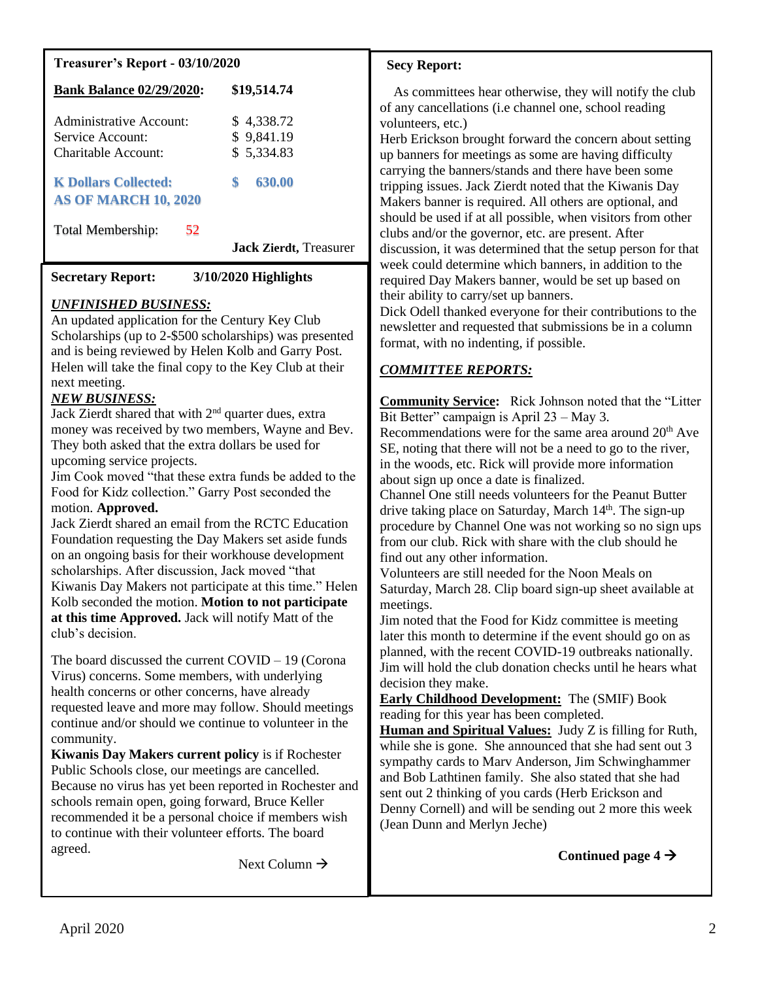## **Treasurer's Report - 03/10/2020**

| <b>Bank Balance 02/29/2020:</b> | \$19,514.74                    |
|---------------------------------|--------------------------------|
| Administrative Account:         | \$4,338.72                     |
| Service Account:                | \$9,841.19                     |
| Charitable Account:             | \$5,334.83                     |
| <b>K Dollars Collected:</b>     | \$                             |
| <b>AS OF MARCH 10, 2020</b>     | 630.00                         |
| 52<br>Total Membership:         | <b>Jack Zierdt</b> , Treasurer |

#### **Secretary Report: 3/10/2020 Highlights**

## *UNFINISHED BUSINESS:*

An updated application for the Century Key Club Scholarships (up to 2-\$500 scholarships) was presented and is being reviewed by Helen Kolb and Garry Post. Helen will take the final copy to the Key Club at their next meeting.

# *NEW BUSINESS:*

Jack Zierdt shared that with  $2<sup>nd</sup>$  quarter dues, extra money was received by two members, Wayne and Bev. They both asked that the extra dollars be used for upcoming service projects.

Jim Cook moved "that these extra funds be added to the Food for Kidz collection." Garry Post seconded the motion. **Approved.**

Jack Zierdt shared an email from the RCTC Education Foundation requesting the Day Makers set aside funds on an ongoing basis for their workhouse development scholarships. After discussion, Jack moved "that Kiwanis Day Makers not participate at this time." Helen Kolb seconded the motion. **Motion to not participate at this time Approved.** Jack will notify Matt of the club's decision.

The board discussed the current COVID – 19 (Corona Virus) concerns. Some members, with underlying health concerns or other concerns, have already requested leave and more may follow. Should meetings continue and/or should we continue to volunteer in the community.

**Kiwanis Day Makers current policy** is if Rochester Public Schools close, our meetings are cancelled. Because no virus has yet been reported in Rochester and schools remain open, going forward, Bruce Keller recommended it be a personal choice if members wish to continue with their volunteer efforts. The board agreed.

Next Column  $\rightarrow$ 

## **Secy Report:**

As committees hear otherwise, they will notify the club of any cancellations (i.e channel one, school reading volunteers, etc.)

Herb Erickson brought forward the concern about setting up banners for meetings as some are having difficulty carrying the banners/stands and there have been some tripping issues. Jack Zierdt noted that the Kiwanis Day Makers banner is required. All others are optional, and should be used if at all possible, when visitors from other clubs and/or the governor, etc. are present. After discussion, it was determined that the setup person for that week could determine which banners, in addition to the required Day Makers banner, would be set up based on their ability to carry/set up banners.

Dick Odell thanked everyone for their contributions to the newsletter and requested that submissions be in a column format, with no indenting, if possible.

# *COMMITTEE REPORTS:*

**Community Service:** Rick Johnson noted that the "Litter Bit Better" campaign is April 23 – May 3.

Recommendations were for the same area around  $20<sup>th</sup>$  Ave SE, noting that there will not be a need to go to the river, in the woods, etc. Rick will provide more information about sign up once a date is finalized.

Channel One still needs volunteers for the Peanut Butter drive taking place on Saturday, March 14<sup>th</sup>. The sign-up procedure by Channel One was not working so no sign ups from our club. Rick with share with the club should he find out any other information.

Volunteers are still needed for the Noon Meals on Saturday, March 28. Clip board sign-up sheet available at meetings.

Jim noted that the Food for Kidz committee is meeting later this month to determine if the event should go on as planned, with the recent COVID-19 outbreaks nationally. Jim will hold the club donation checks until he hears what decision they make.

**Early Childhood Development:** The (SMIF) Book reading for this year has been completed.

**Human and Spiritual Values:** Judy Z is filling for Ruth, while she is gone. She announced that she had sent out 3 sympathy cards to Marv Anderson, Jim Schwinghammer and Bob Lathtinen family. She also stated that she had sent out 2 thinking of you cards (Herb Erickson and Denny Cornell) and will be sending out 2 more this week (Jean Dunn and Merlyn Jeche)

Continued page  $4 \rightarrow$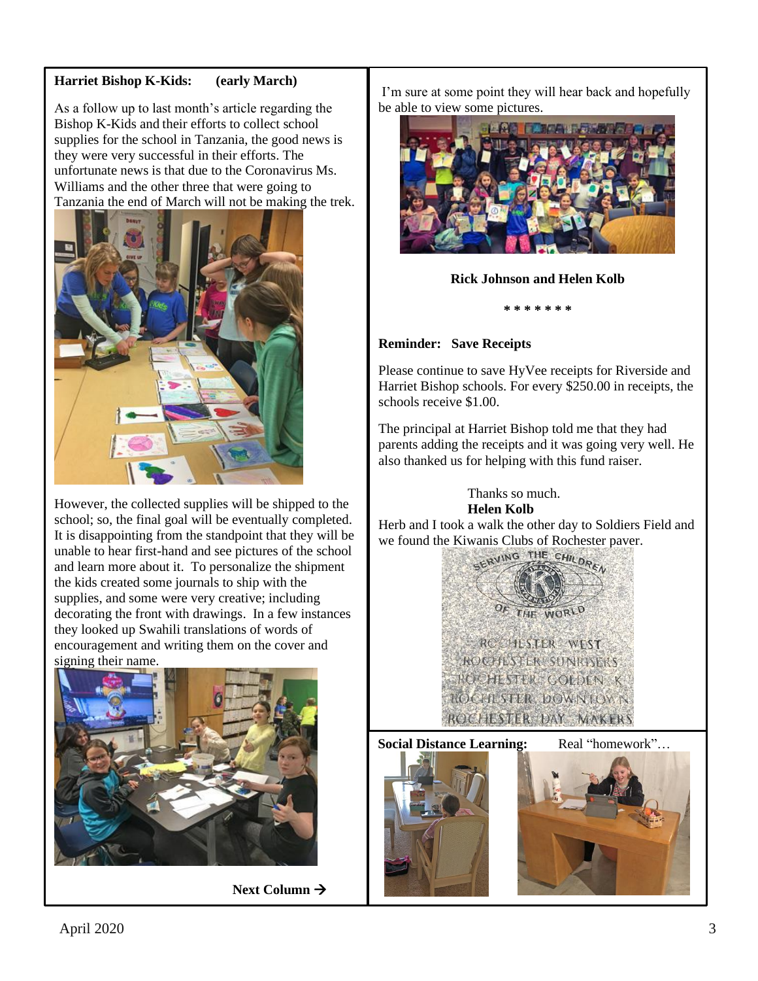# **Harriet Bishop K-Kids: (early March)**

As a follow up to last month's article regarding the Bishop K-Kids and their efforts to collect school supplies for the school in Tanzania, the good news is they were very successful in their efforts. The unfortunate news is that due to the Coronavirus Ms. Williams and the other three that were going to Tanzania the end of March will not be making the trek.



However, the collected supplies will be shipped to the school; so, the final goal will be eventually completed. It is disappointing from the standpoint that they will be unable to hear first-hand and see pictures of the school and learn more about it. To personalize the shipment the kids created some journals to ship with the supplies, and some were very creative; including decorating the front with drawings. In a few instances they looked up Swahili translations of words of encouragement and writing them on the cover and signing their name.



**Next Column** →

I'm sure at some point they will hear back and hopefully be able to view some pictures.



## **Rick Johnson and Helen Kolb**

**\* \* \* \* \* \* \*** 

## **Reminder: Save Receipts**

Please continue to save HyVee receipts for Riverside and Harriet Bishop schools. For every \$250.00 in receipts, the schools receive \$1.00.

The principal at Harriet Bishop told me that they had parents adding the receipts and it was going very well. He also thanked us for helping with this fund raiser.

> Thanks so much. **Helen Kolb**

Herb and I took a walk the other day to Soldiers Field and we found the Kiwanis Clubs of Rochester paver.